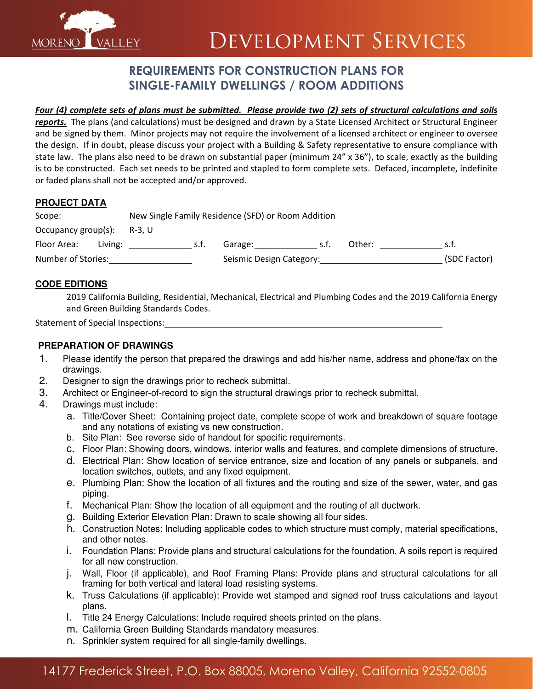

# **DEVELOPMENT SERVICES**

## REQUIREMENTS FOR CONSTRUCTION PLANS FOR SINGLE-FAMILY DWELLINGS / ROOM ADDITIONS

### Four (4) complete sets of plans must be submitted. Please provide two (2) sets of structural calculations and soils

reports. The plans (and calculations) must be designed and drawn by a State Licensed Architect or Structural Engineer and be signed by them. Minor projects may not require the involvement of a licensed architect or engineer to oversee the design. If in doubt, please discuss your project with a Building & Safety representative to ensure compliance with state law. The plans also need to be drawn on substantial paper (minimum 24" x 36"), to scale, exactly as the building is to be constructed. Each set needs to be printed and stapled to form complete sets. Defaced, incomplete, indefinite or faded plans shall not be accepted and/or approved.

#### **PROJECT DATA**

| Scope:                        |         | New Single Family Residence (SFD) or Room Addition |      |                          |     |        |              |
|-------------------------------|---------|----------------------------------------------------|------|--------------------------|-----|--------|--------------|
| Occupancy group(s): $R-3$ , U |         |                                                    |      |                          |     |        |              |
| Floor Area:                   | Living: |                                                    | s.t. | Garage:                  | .st | Other: | s.t.         |
| Number of Stories:            |         |                                                    |      | Seismic Design Category: |     |        | (SDC Factor) |

#### **CODE EDITIONS**

2019 California Building, Residential, Mechanical, Electrical and Plumbing Codes and the 2019 California Energy and Green Building Standards Codes.

Statement of Special Inspections:

#### **PREPARATION OF DRAWINGS**

- 1. Please identify the person that prepared the drawings and add his/her name, address and phone/fax on the drawings.
- 2. Designer to sign the drawings prior to recheck submittal.
- 3. Architect or Engineer-of-record to sign the structural drawings prior to recheck submittal.
- 4. Drawings must include:
	- a. Title/Cover Sheet: Containing project date, complete scope of work and breakdown of square footage and any notations of existing vs new construction.
	- b. Site Plan: See reverse side of handout for specific requirements.
	- c. Floor Plan: Showing doors, windows, interior walls and features, and complete dimensions of structure.
	- d. Electrical Plan: Show location of service entrance, size and location of any panels or subpanels, and location switches, outlets, and any fixed equipment.
	- e. Plumbing Plan: Show the location of all fixtures and the routing and size of the sewer, water, and gas piping.
	- f. Mechanical Plan: Show the location of all equipment and the routing of all ductwork.
	- g. Building Exterior Elevation Plan: Drawn to scale showing all four sides.
	- h. Construction Notes: Including applicable codes to which structure must comply, material specifications, and other notes.
	- i. Foundation Plans: Provide plans and structural calculations for the foundation. A soils report is required for all new construction.
	- j. Wall, Floor (if applicable), and Roof Framing Plans: Provide plans and structural calculations for all framing for both vertical and lateral load resisting systems.
	- k. Truss Calculations (if applicable): Provide wet stamped and signed roof truss calculations and layout plans.
	- l. Title 24 Energy Calculations: Include required sheets printed on the plans.
	- m. California Green Building Standards mandatory measures.
	- n. Sprinkler system required for all single-family dwellings.